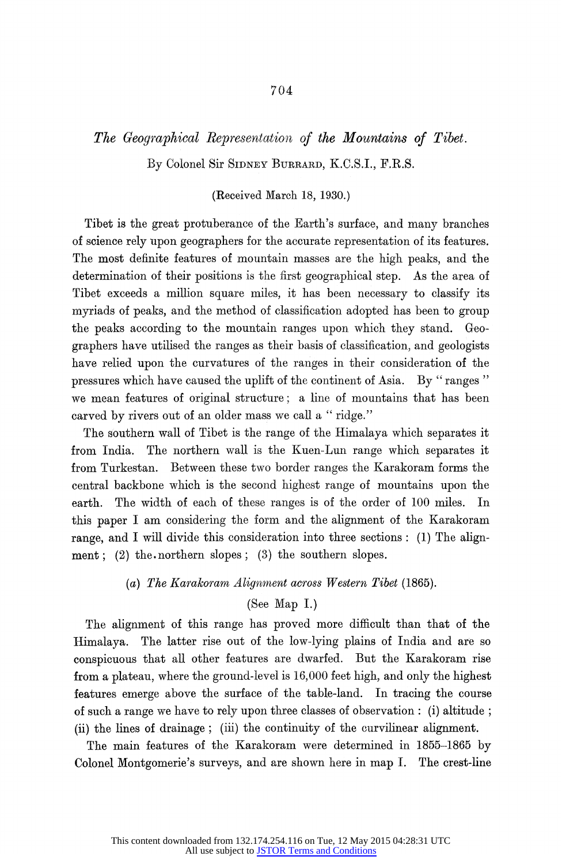**By Colonel Sir SIDNEY BURRARD, K.C.S.I., F.R.S.** 

**(Received March 18, 1930.)** 

**Tibet is the great protuberance of the Earth's surface, and many branches of science rely upon geographers for the accurate representation of its features. The most definite features of mountain masses are the high peaks, and the determination of their positions is the first geographical step. As the area of Tibet exceeds a million square miles, it has been necessary to classify its myriads of peaks, and the method of classification adopted has been to group the peaks according to the mountain ranges upon which they stand. Geographers have utilised the ranges as their basis of classification, and geologists have relied upon the curvatures of the ranges in their consideration of the pressures which have caused the uplift of the continent of Asia. By " ranges" we mean features of original structure; a line of mountains that has been carved by rivers out of an older mass we call a " ridge."** 

**The southern wall of Tibet is the range of the Himalaya which separates it from India. The northern wall is the Kuen-Lun range which separates it from Turkestan. Between these two border ranges the Karakoram forms the central backbone which is the second highest range of mountains upon the earth. The width of each of these ranges is of the order of 100 miles. In this paper I am considering the form and the alignment of the Karakoram range, and I will divide this consideration into three sections: (1) The alignment; (2) the.northern slopes; (3) the southern slopes.** 

#### **(a) The Karakoram Alignment across Western Tibet (1865).**

#### **(See Map I.)**

**The alignment of this range has proved more difficult than that of the Himalaya. The latter rise out of the low-lying plains of India and are so conspicuous that all other features are dwarfed. But the Karakoram rise from a plateau, where the ground-level is 16,000 feet high, and only the highest features emerge above the surface of the table-land. In tracing the course of such a range we have to rely upon three classes of observation: (i) altitude; (ii) the lines of drainage; (iii) the continuity of the curvilinear alignment.** 

**The main features of the Karakoram were determined in 1855-1865 by Colonel Montgomerie's surveys, and are shown here in map I. The crest-line**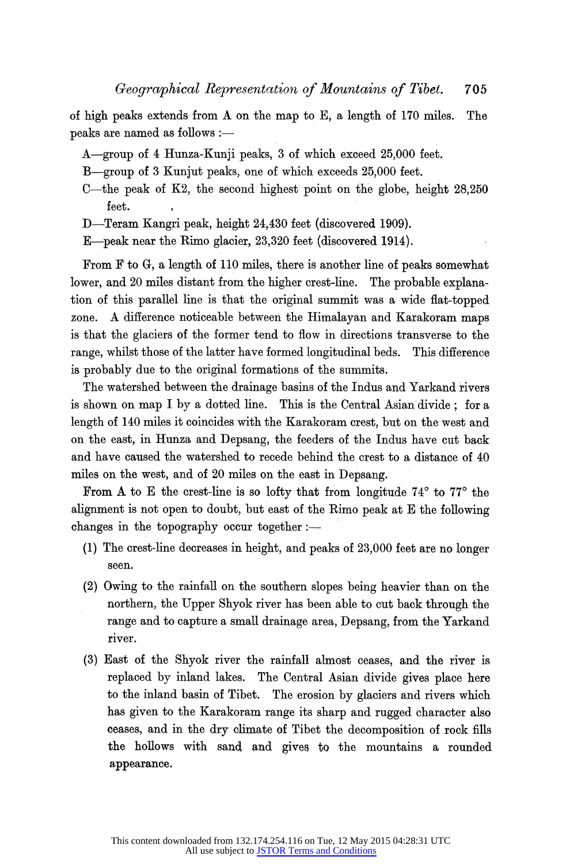**of high peaks extends from A on the map to E, a length of 170 miles. The**  peaks are named as follows :-

- **A-group of 4 Hunza-Kunji peaks, 3 of which exceed 25,000 feet.**
- **B-group of 3 Kunjut peaks, one of which exceeds 25,000 feet.**
- **C-the peak of K2, the second highest point on ihe globe, height 28,250 feet.**
- **D-Teram Kangri peak, height 24,430 feet (discovered 1909).**
- **E-peak near the Rimo glacier, 23,320 feet (discovered 1914).**

**From F to G, a length of 110 miles, there is another line of peaks somewhat lower, and 20 miles distant from the higher crest-line. The probable explanation of this parallel line is that the original summit was a wide flat-topped zone. A difference noticeable between the Himalayan and Karakoram maps is that the glaciers of the former tend to flow in directions transverse to the range, whilst those of the latter have formed longitudinal beds. This difference is probably due to the original formations of the summits.** 

**The watershed between the drainage basins of the Indus and Yarkand rivers is shown on map I by a dotted line. This is the Central Asian divide; for a length of 140 miles it coincides with the Karakoram crest, but on the west and on the east, in Hunza and Depsang, the feeders of the Indus have cut back and have caused the watershed to recede behind the crest to a distance of 40 miles on the west, and of 20 miles on the east in Depsang.** 

**From A to E the crest-line is so lofty that from longitude 74? to 77? the alignment is not open to doubt, but east of the Rimo peak at E the following**  changes in the topography occur together:-

- **(1) The crest-line decreases in height, and peaks of 23,000 feet are no longer seen.**
- **(2) Owing to the rainfall on the southern slopes being heavier than on the northern, the Upper Shyok river has been able to cut back through the range and to capture a small drainage area, Depsang, from the Yarkand river.**
- **(3) East of the Shyok river the rainfall almost ceases, and the river is replaced by inland lakes. The Central Asian divide gives place here to the inland basin of Tibet. The erosion by glaciers and rivers which has given to the Karakoram range its sharp and rugged character also ceases, and in the dry climate of Tibet the decomposition of rock fills the hollows with sand and gives to the mountains a rounded appearance.**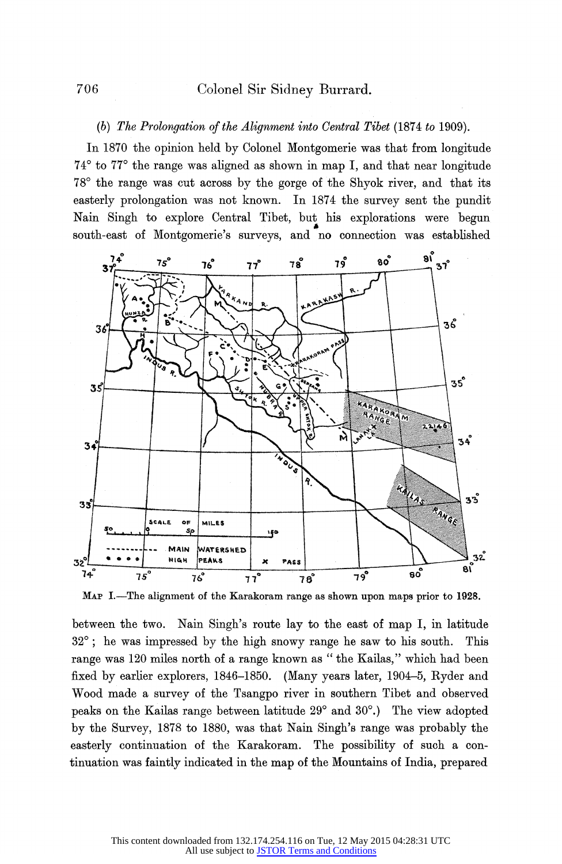#### **(b) The Prolongation of the Alignment into Central Tibet (1874 to 1909).**

**In 1870 the opinion held by Colonel Montgomerie was that from longitude 74? to 77? the range was aligned as shown in map I, and that near longitude 78? the range was cut across by the gorge of the Shyok river, and that its**  easterly prolongation was not known. In 1874 the survey sent the pundit **Nain Singh to explore Central Tibet, but his explorations were begun**  south-east of Montgomerie's surveys, and no connection was established



**MAP I.-The alignment of the Karakoram range as shown upon maps prior to 1928.** 

**between the two. Nain Singh's route lay to the east of map I, in latitude 32?; he was impressed by the high snowy range he saw to his south. This range was 120 miles north of a range known as " the Kailas," which had been fixed by earlier explorers, 1846-1850. (Many years later, 1904-5, Ryder and Wood made a survey of the Tsangpo river in southern Tibet and observed peaks on the Kailas range between latitude 29? and 30?.) The view adopted by the Survey, 1878 to 1880, was that Nain Singh's range was probably the easterly continuation of the Karakoram. The possibility of such a continuation was faintly indicated in the map of the Mountains of India, prepared**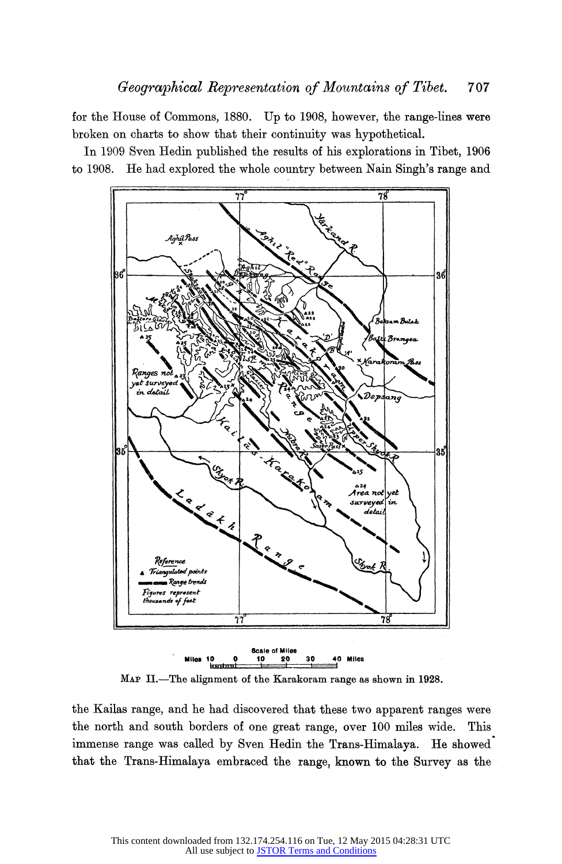**for the House of Commons, 1880. Up to 1908, however, the range-lines were broken on charts to show that their continuity was hypothetical.** 

**In 1909 Sven Hedin published the results of his explorations in Tibet, 1906 to 1908. He had explored the whole country between Nain Singh's range and** 



**MAP II.-The alignment of the Karakoram range as shown in 1928.** 

**the Kailas range, and he had discovered that these two apparent ranges were the north and south borders of one great range, over 100 miles wide. This immense range was called by Sven Hedin the Trans-Himalaya. He showed that the Trans-Himalaya embraced the range, known to the Survey as the**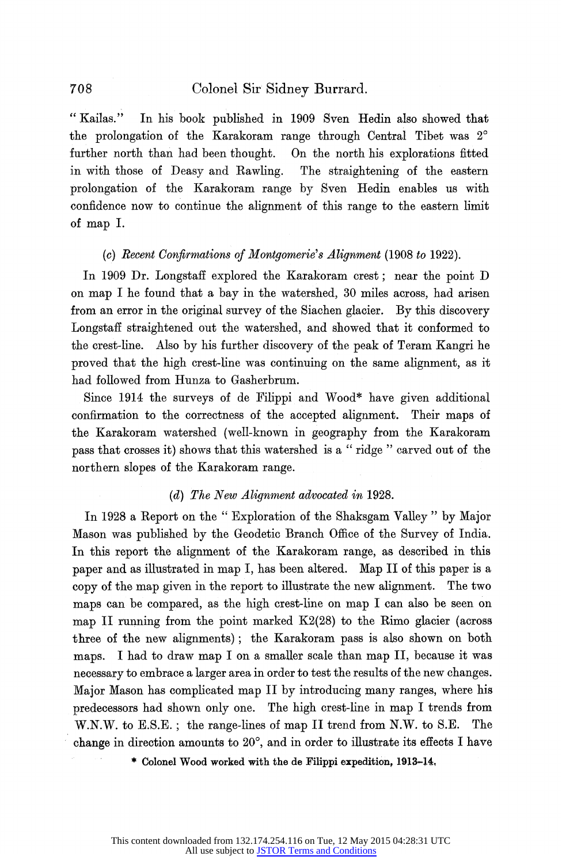**"Kailas." In his book published in 1909 Sven Hedin also showed that the prolongation of the Karakoram range through Central Tibet was 2?**  further north than had been thought. On the north his explorations fitted in with those of Deasy and Rawling. The straightening of the eastern in with those of Deasy and Rawling. **prolongation of the Karakoram range by Sven Hedin enables us with confidence now to continue the alignment of this range to the eastern limit of map I.** 

#### **(c) Recent Confirmations of Montgomerie's Alignment (1908 to 1922).**

**In 1909 Dr. Longstaff explored the Karakoram crest; near the point D on map I he found that a bay in the watershed, 30 miles across, had arisen from an error in the original survey of the Siachen glacier. By this discovery Longstaff straightened out the watershed, and showed that it conformed to the crest-line. Also by his further discovery of the peak of Teram Kangri he proved that the high crest-line was continuing on the same alignment, as it had followed from Hunza to Gasherbrum.** 

**Since 1914 the surveys of de Filippi and Wood\* have given additional confirmation to the correctness of the accepted alignment. Their maps of the Karakoram watershed (well-known in geography from the Karakoram pass that crosses it) shows that this watershed is a "ridge " carved out of the northern slopes of the Karakoram range.** 

### **(d) The New Alignment advocated in 1928.**

In 1928 a Report on the "Exploration of the Shaksgam Valley" by Major **Mason was published by the Geodetic Branch Office of the Survey of India. In this report the alignment of the Karakoram range, as described in this paper and as illustrated in map I, has been altered. Map II of this paper is a copy of the map given in the report to illustrate the new alignment. The two maps can be compared, as the high crest-line on map I can also be seen on map II running from the point marked K2(28) to the Rimo glacier (across three of the new alignments); the Karakoram pass is also shown on both maps. I had to draw map I on a smaller scale than map II, because it was necessary to embrace a larger area in order to test the results of the new changes. Major Mason has complicated map II by introducing many ranges, where his predecessors had shown only one. The high crest-line in map I trends from W.N.W. to E.S.E.; the range-lines of map II trend from N.W. to S.E. The change in direction amounts to 20?, and in order to illustrate its effects I have** 

**\* Colonel Wood worked with the de Filippi expedition, 1913-14.**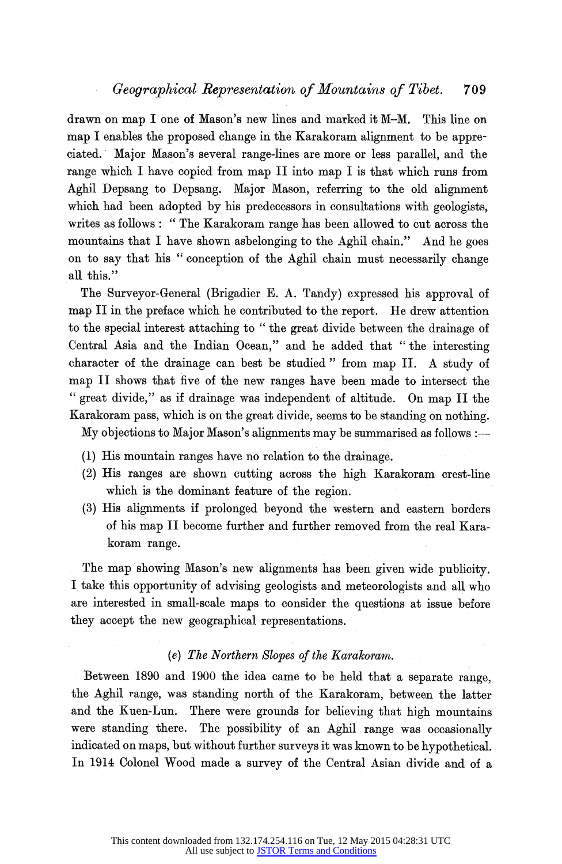**drawn on map I one of Mason's new lines and marked it M-M. This line on map I enables the proposed change in the Karakoram alignment to be appreciated. Major Mason's several range-lines are more or less parallel, and the range which I have copied from map II into map I is that which runs from Aghil Depsang to Depsang. Major Mason, referring to the old alignment which had been adopted by his predecessors in consultations with geologists, writes as follows: "The Karakoram range has been allowed to cut across the mountains that I have shown asbelonging to the Aghil chain." And he goes on to say that his "conception of the Aghil chain must necessarily change all this."** 

**The Surveyor-General (Brigadier E. A. Tandy) expressed his approval of map II in the preface which he contributed to the report. He drew attention to the special interest attaching to " the great divide between the drainage of Central Asia and the Indian Ocean," and he added that "the interesting character of the drainage can best be studied " from map II. A study of map II shows that five of the new ranges have been made to intersect the "great divide," as if drainage was independent of altitude. On map II the Karakoram pass, which is on the great divide, seems to be standing on nothing.** 

My objections to Major Mason's alignments may be summarised as follows :-

- **(1) His mountain ranges have no relation to the drainage.**
- **(2) His ranges are shown cutting across the high Karakoram crest-line which is the dominant feature of the region.**
- **(3) His alignments if prolonged beyond the western and eastern borders of his map II become further and further removed from the real Karakoram range.**

**The map showing Mason's new alignments has been given wide publicity. I take this opportunity of advising geologists and meteorologists and all who are interested in small-scale maps to consider the questions at issue before they accept the new geographical representations.** 

## **(e) The Northern Slopes of the Karakoram.**

**Between 1890 and 1900 the idea came to be held that a separate range, the Aghil range, was standing north of the Karakoram, between the latter and the Kuen-Lun. There were grounds for believing that high mountains were standing there. The possibility of an Aghil range was occasionally indicated on maps, but without further surveys it was known to be hypothetical. In 1914 Colonel Wood made a survey of the Central Asian divide and of a**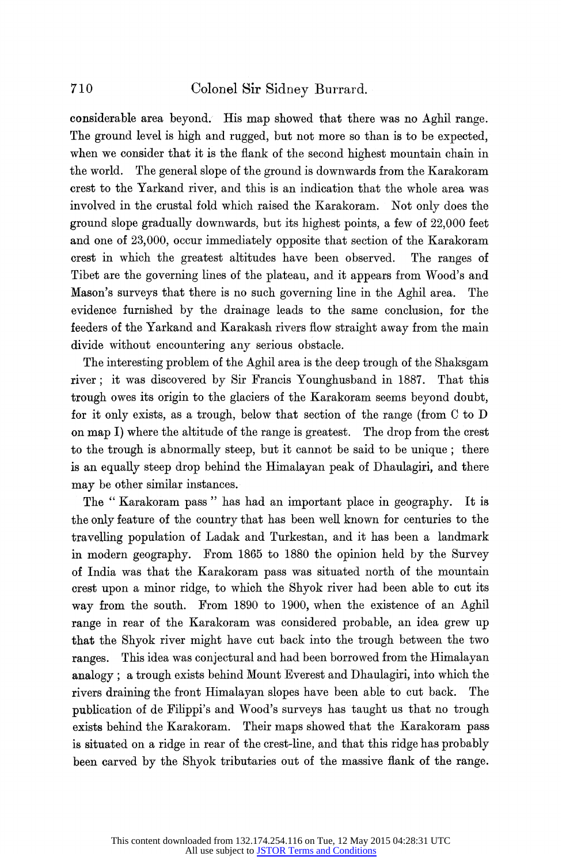**considerable area beyond.- His map showed that there was no Aghil range. The ground level is high and rugged, but not more so than is to be expected, when we consider that it is the flank of the second highest mountain chain in the world. The general slope of the ground is downwards from the Karakoram crest to the Yarkand river, and this is an indication that the whole area was involved in the crustal fold which raised the Karakoram. Not only does the ground slope gradually downwards, but its highest points, a few of 22,000 feet and one of 23,000, occur immediately opposite that section of the Karakoram crest in which the greatest altitudes have been observed. The ranges of Tibet are the governing lines of the plateau, and it appears from Wood's and Mason's surveys that there is no such governing line in the Aghil area. The evidence furnished by the drainage leads to the same conclusion, for the feeders of the Yarkand and Karakash rivers flow straight away from the main divide without encountering any serious obstacle.** 

**The interesting problem of the Aghil area is the deep trough of the Shaksgam river; it was discovered by Sir Francis Younghusband in 1887. That this trough owes its origin to the glaciers of the Karakoram seems beyond doubt, for it only exists, as a trough, below that section of the range (from C to D on map I) where the altitude of the range is greatest. The drop from the crest to the trough is abnormally steep, but it cannot be said to be unique; there is an equally steep drop behind the Himalayan peak of Dhaulagiri, and there may be other similar instances.** 

**The " Karakoram pass " has had an important place in geography. It is the only feature of the country that has been well known for centuries to the travelling population of Ladak and Turkestan, and it has been a landmark in modern geography. From 1865 to 1880 the opinion held by the Survey of India was that the Karakoram pass was situated north of the mountain crest upon a minor ridge, to which the Shyok river had been able to cut its way from the south. From 1890 to 1900, when the existence of an Aghil range in rear of the Karakoram was considered probable, an idea grew up that the Shyok river might have cut back into the trough between the two ranges. This idea was conjectural and had been borrowed from the Himalayan analogy; a trough exists behind Mount Everest and Dhaulagiri, into which the rivers draining the front Himalayan slopes have been able to cut back. The publication of de Filippi's and Wood's surveys has taught us that no trough exists behind the Karakoram. Their maps showed that the Karakoram pass is situated on a ridge in rear of the crest-line, and that this ridge has probably been carved by the Shyok tributaries out of the massive flank of the range.**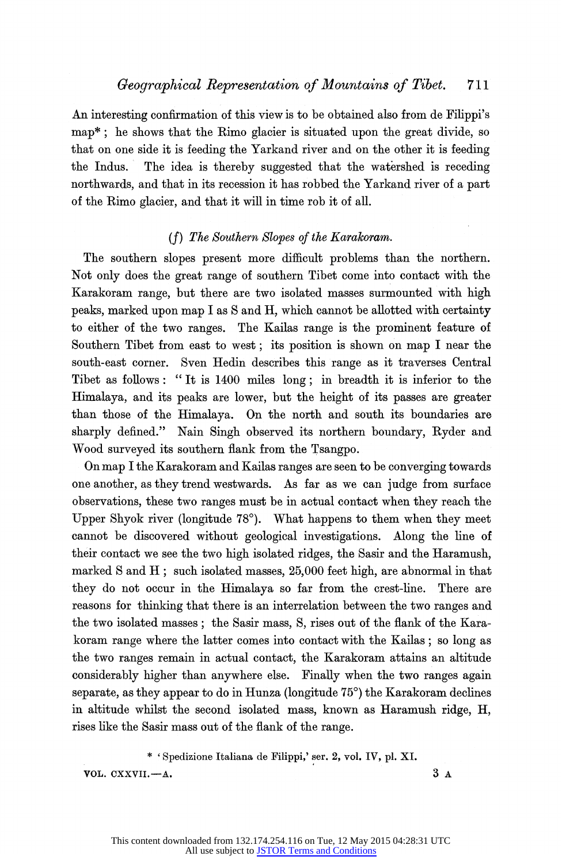# **Geographical Representation of Mountains of Tibet. 711**

**An interesting confirmation of this view is to be obtained also from de Filippi's map\*; he shows that the Rimo glacier is situated upon the great divide, so that on one side it is feeding the Yarkand river and on the other it is feeding the Indus. The idea is thereby suggested that the watershed is receding northwards, and that in its recession it has robbed the Yarkand river of a part of the Rimo glacier, and that it will in time rob it of all.** 

## **(f) The Southern Slopes of the Karakoram.**

**The southern slopes present more difficult problems than the northern. Not only does the great range of southern Tibet come into contact with the Karakoram range, but there are two isolated masses surmounted with high peaks, marked upon map I as S and H, which cannot be allotted with certainty to either of the two ranges. The Kailas range is the prominent feature of Southern Tibet from east to west; its position is shown on map I near the south-east corner. Sven Hedin describes this range as it traverses Central Tibet as follows: "It is 1400 miles long; in breadth it is inferior to the Himalaya, and its peaks are lower, but the height of its passes are greater than those of the Himalaya. On the north and south its boundaries are sharply defined." Nain Singh observed its northern boundary, Ryder and Wood surveyed its southern flank from the Tsangpo.** 

**On map I the Karakoram and Kailas ranges are seen to be converging towards one another, as they trend westwards. As far as we can judge from surface observations, these two ranges must be in actual contact when they reach the Upper Shyok river (longitude 78?). What happens to them when they meet cannot be discovered without geological investigations. Along the line of their contact we see the two high isolated ridges, the Sasir and the Haramush, marked S and H ; such isolated masses, 25,000 feet high, are abnormal in that they do not occur in the Himalaya so far from the crest-line. There are reasons for thinking that there is an interrelation between the two ranges and the two isolated masses; the Sasir mass, S, rises out of the flank of the Karakoram range where the latter comes into contact with the Kailas; so long as the two ranges remain in actual contact, the Karakoram attains an altitude considerably higher than anywhere else. Finally when the two ranges again separate, as they appear to do in Hunza (longitude 75?) the Karakoram declines in altitude whilst the second isolated mass, known as Haramush ridge, H, rises like the Sasir mass out of the flank of the range.** 

**\* ' Spedizione Italiana de Filippi,' ser. 2, vol. IV, pl. XI.**